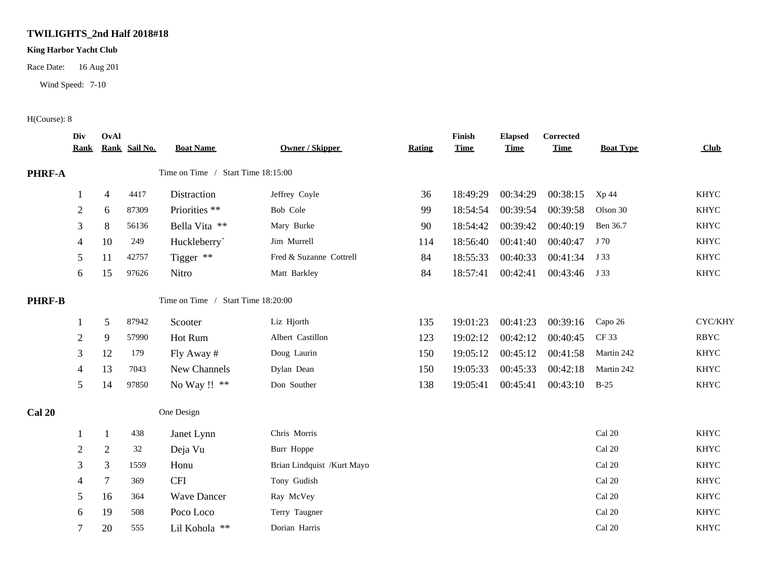## **TWILIGHTS\_2nd Half 2018#18**

## **King Harbor Yacht Club**

Race Date: 16 Aug 201

Wind Speed: 7-10

## H(Course): 8

|               | Div<br><b>Rank</b> | OvAl           | Rank Sail No. | <b>Boat Name</b>                   | <b>Owner / Skipper</b>     | <b>Rating</b> | Finish<br><b>Time</b> | <b>Elapsed</b><br><b>Time</b> | Corrected<br><b>Time</b> | <b>Boat Type</b> | <b>Club</b> |
|---------------|--------------------|----------------|---------------|------------------------------------|----------------------------|---------------|-----------------------|-------------------------------|--------------------------|------------------|-------------|
| PHRF-A        |                    |                |               | Time on Time / Start Time 18:15:00 |                            |               |                       |                               |                          |                  |             |
|               | $\mathbf 1$        | $\overline{4}$ | 4417          | Distraction                        | Jeffrey Coyle              | 36            | 18:49:29              | 00:34:29                      | 00:38:15                 | Xp 44            | <b>KHYC</b> |
|               | $\overline{c}$     | 6              | 87309         | Priorities **                      | Bob Cole                   | 99            | 18:54:54              | 00:39:54                      | 00:39:58                 | Olson 30         | <b>KHYC</b> |
|               | 3                  | 8              | 56136         | Bella Vita **                      | Mary Burke                 | 90            | 18:54:42              | 00:39:42                      | 00:40:19                 | Ben 36.7         | <b>KHYC</b> |
|               | 4                  | 10             | 249           | Huckleberry`                       | Jim Murrell                | 114           | 18:56:40              | 00:41:40                      | 00:40:47                 | J 70             | <b>KHYC</b> |
|               | 5                  | 11             | 42757         | Tigger **                          | Fred & Suzanne Cottrell    | 84            | 18:55:33              | 00:40:33                      | 00:41:34                 | J 33             | <b>KHYC</b> |
|               | 6                  | 15             | 97626         | Nitro                              | Matt Barkley               | 84            | 18:57:41              | 00:42:41                      | 00:43:46                 | J 33             | <b>KHYC</b> |
| <b>PHRF-B</b> |                    |                |               | Time on Time / Start Time 18:20:00 |                            |               |                       |                               |                          |                  |             |
|               |                    | $\mathfrak{S}$ | 87942         | Scooter                            | Liz Hjorth                 | 135           | 19:01:23              | 00:41:23                      | $00:39:16$ Capo 26       |                  | CYC/KHY     |
|               | $\overline{c}$     | 9              | 57990         | Hot Rum                            | Albert Castillon           | 123           | 19:02:12              | 00:42:12                      | 00:40:45                 | CF 33            | <b>RBYC</b> |
|               | 3                  | 12             | 179           | Fly Away #                         | Doug Laurin                | 150           | 19:05:12              | 00:45:12                      | 00:41:58                 | Martin 242       | <b>KHYC</b> |
|               | 4                  | 13             | 7043          | New Channels                       | Dylan Dean                 | 150           | 19:05:33              | 00:45:33                      | 00:42:18                 | Martin 242       | <b>KHYC</b> |
|               | 5 <sup>5</sup>     | 14             | 97850         | No Way !! **                       | Don Souther                | 138           | 19:05:41              | 00:45:41                      | 00:43:10                 | $B-25$           | KHYC        |
| <b>Cal 20</b> |                    |                |               | One Design                         |                            |               |                       |                               |                          |                  |             |
|               |                    | 1              | 438           | Janet Lynn                         | Chris Morris               |               |                       |                               |                          | Cal 20           | <b>KHYC</b> |
|               | $\overline{c}$     | $\overline{2}$ | 32            | Deja Vu                            | Burr Hoppe                 |               |                       |                               |                          | Cal 20           | <b>KHYC</b> |
|               | 3                  | $\mathfrak{Z}$ | 1559          | Honu                               | Brian Lindquist /Kurt Mayo |               |                       |                               |                          | Cal 20           | <b>KHYC</b> |
|               | 4                  | $\overline{7}$ | 369           | <b>CFI</b>                         | Tony Gudish                |               |                       |                               |                          | Cal 20           | <b>KHYC</b> |
|               | 5                  | 16             | 364           | <b>Wave Dancer</b>                 | Ray McVey                  |               |                       |                               |                          | Cal 20           | <b>KHYC</b> |
|               | 6                  | 19             | 508           | Poco Loco                          | Terry Taugner              |               |                       |                               |                          | Cal 20           | <b>KHYC</b> |
|               | 7                  | 20             | 555           | Lil Kohola **                      | Dorian Harris              |               |                       |                               |                          | Cal 20           | <b>KHYC</b> |